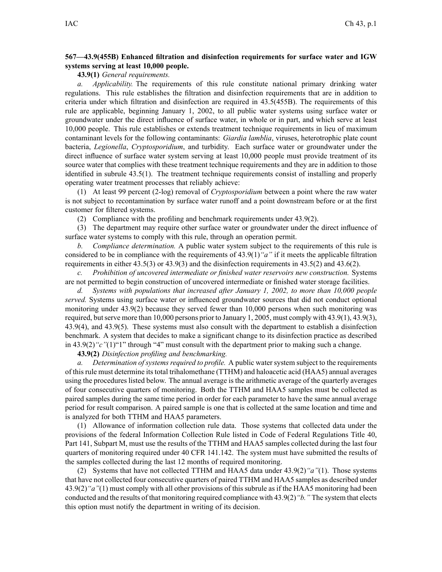## **567—43.9(455B) Enhanced filtration and disinfection requirements for surface water and IGW systems serving at least 10,000 people.**

**43.9(1)** *General requirements.*

*a. Applicability.* The requirements of this rule constitute national primary drinking water regulations. This rule establishes the filtration and disinfection requirements that are in addition to criteria under which filtration and disinfection are required in 43.5(455B). The requirements of this rule are applicable, beginning January 1, 2002, to all public water systems using surface water or groundwater under the direct influence of surface water, in whole or in part, and which serve at least 10,000 people. This rule establishes or extends treatment technique requirements in lieu of maximum contaminant levels for the following contaminants: *Giardia lamblia*, viruses, heterotrophic plate count bacteria, *Legionella*, *Cryptosporidium*, and turbidity. Each surface water or groundwater under the direct influence of surface water system serving at least 10,000 people must provide treatment of its source water that complies with these treatment technique requirements and they are in addition to those identified in subrule 43.5(1). The treatment technique requirements consist of installing and properly operating water treatment processes that reliably achieve:

(1) At least 99 percen<sup>t</sup> (2-log) removal of *Cryptosporidium* between <sup>a</sup> point where the raw water is not subject to recontamination by surface water runoff and <sup>a</sup> point downstream before or at the first customer for filtered systems.

(2) Compliance with the profiling and benchmark requirements under 43.9(2).

(3) The department may require other surface water or groundwater under the direct influence of surface water systems to comply with this rule, through an operation permit.

*b. Compliance determination.* A public water system subject to the requirements of this rule is considered to be in compliance with the requirements of 43.9(1)*"a"* if it meets the applicable filtration requirements in either 43.5(3) or 43.9(3) and the disinfection requirements in 43.5(2) and 43.6(2).

*c. Prohibition of uncovered intermediate or finished water reservoirs new construction.* Systems are not permitted to begin construction of uncovered intermediate or finished water storage facilities.

*d. Systems with populations that increased after January 1, 2002, to more than 10,000 people served.* Systems using surface water or influenced groundwater sources that did not conduct optional monitoring under 43.9(2) because they served fewer than 10,000 persons when such monitoring was required, butserve more than 10,000 persons prior to January 1, 2005, must comply with 43.9(1), 43.9(3), 43.9(4), and 43.9(5). These systems must also consult with the department to establish <sup>a</sup> disinfection benchmark. A system that decides to make <sup>a</sup> significant change to its disinfection practice as described in 43.9(2)*"c"*(1)"1" through "4" must consult with the department prior to making such <sup>a</sup> change.

**43.9(2)** *Disinfection profiling and benchmarking.*

*a. Determination of systems required to profile.* A public water system subject to the requirements of thisrule must determine itstotal trihalomethane (TTHM) and haloacetic acid (HAA5) annual averages using the procedures listed below. The annual average is the arithmetic average of the quarterly averages of four consecutive quarters of monitoring. Both the TTHM and HAA5 samples must be collected as paired samples during the same time period in order for each parameter to have the same annual average period for result comparison. A paired sample is one that is collected at the same location and time and is analyzed for both TTHM and HAA5 parameters.

(1) Allowance of information collection rule data. Those systems that collected data under the provisions of the federal Information Collection Rule listed in Code of Federal Regulations Title 40, Part 141, Subpart M, must use the results of the TTHM and HAA5 samples collected during the last four quarters of monitoring required under 40 CFR 141.142. The system must have submitted the results of the samples collected during the last 12 months of required monitoring.

(2) Systems that have not collected TTHM and HAA5 data under 43.9(2)*"a"*(1). Those systems that have not collected four consecutive quarters of paired TTHM and HAA5 samples as described under 43.9(2)*"a"*(1) must comply with all other provisions of this subrule as if the HAA5 monitoring had been conducted and the results of that monitoring required compliance with 43.9(2)*"b."* The system that elects this option must notify the department in writing of its decision.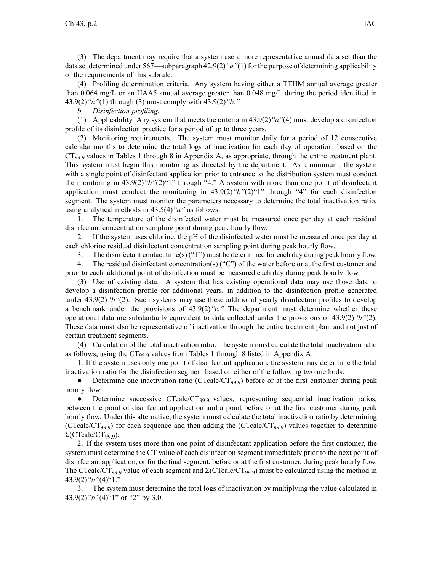(3) The department may require that <sup>a</sup> system use <sup>a</sup> more representative annual data set than the data set determined under 567—subparagraph 42.9(2)*"a"*(1) for the purpose of determining applicability of the requirements of this subrule.

(4) Profiling determination criteria. Any system having either <sup>a</sup> TTHM annual average greater than 0.064 mg/L or an HAA5 annual average greater than 0.048 mg/L during the period identified in 43.9(2)*"a"*(1) through (3) must comply with 43.9(2)*"b."*

*b. Disinfection profiling.*

(1) Applicability. Any system that meets the criteria in 43.9(2)*"a"*(4) must develop <sup>a</sup> disinfection profile of its disinfection practice for <sup>a</sup> period of up to three years.

(2) Monitoring requirements. The system must monitor daily for <sup>a</sup> period of 12 consecutive calendar months to determine the total logs of inactivation for each day of operation, based on the  $CT_{99}$  values in Tables 1 through 8 in Appendix A, as appropriate, through the entire treatment plant. This system must begin this monitoring as directed by the department. As <sup>a</sup> minimum, the system with <sup>a</sup> single point of disinfectant application prior to entrance to the distribution system must conduct the monitoring in 43.9(2)*"b"*(2)"1" through "4." A system with more than one point of disinfectant application must conduct the monitoring in 43.9(2)*"b"*(2)"1" through "4" for each disinfection segment. The system must monitor the parameters necessary to determine the total inactivation ratio, using analytical methods in 43.5(4)*"a"* as follows:

1. The temperature of the disinfected water must be measured once per day at each residual disinfectant concentration sampling point during peak hourly flow.

2. If the system uses chlorine, the pH of the disinfected water must be measured once per day at each chlorine residual disinfectant concentration sampling point during peak hourly flow.

3. The disinfectant contact time(s) ("T") must be determined for each day during peak hourly flow.

4. The residual disinfectant concentration(s) ("C") of the water before or at the first customer and prior to each additional point of disinfection must be measured each day during peak hourly flow.

(3) Use of existing data. A system that has existing operational data may use those data to develop <sup>a</sup> disinfection profile for additional years, in addition to the disinfection profile generated under 43.9(2)<sup>*"b"*</sup>(2). Such systems may use these additional yearly disinfection profiles to develop <sup>a</sup> benchmark under the provisions of 43.9(2)*"c."* The department must determine whether these operational data are substantially equivalent to data collected under the provisions of 43.9(2)*"b"*(2). These data must also be representative of inactivation through the entire treatment plant and not just of certain treatment segments.

(4) Calculation of the total inactivation ratio. The system must calculate the total inactivation ratio as follows, using the  $CT_{99.9}$  values from Tables 1 through 8 listed in Appendix A:

1. If the system uses only one point of disinfectant application, the system may determine the total inactivation ratio for the disinfection segmen<sup>t</sup> based on either of the following two methods:

 $\bullet$ Determine one inactivation ratio (CTcalc/CT<sub>99.9</sub>) before or at the first customer during peak hourly flow.

 $\bullet$ Determine successive  $CTcalc/CT_{99.9}$  values, representing sequential inactivation ratios, between the point of disinfectant application and <sup>a</sup> point before or at the first customer during peak hourly flow. Under this alternative, the system must calculate the total inactivation ratio by determining (CTcalc/CT<sub>99.9</sub>) for each sequence and then adding the (CTcalc/CT<sub>99.9</sub>) values together to determine  $Σ(CTealc/CT<sub>99.9</sub>)$ .

2. If the system uses more than one point of disinfectant application before the first customer, the system must determine the CT value of each disinfection segmen<sup>t</sup> immediately prior to the next point of disinfectant application, or for the final segment, before or at the first customer, during peak hourly flow. The CTcalc/CT<sub>99.9</sub> value of each segment and  $\Sigma$ (CTcalc/CT<sub>99.9</sub>) must be calculated using the method in 43.9(2)*"b"*(4)"1."

3. The system must determine the total logs of inactivation by multiplying the value calculated in 43.9(2)*"b"*(4)"1" or "2" by 3.0.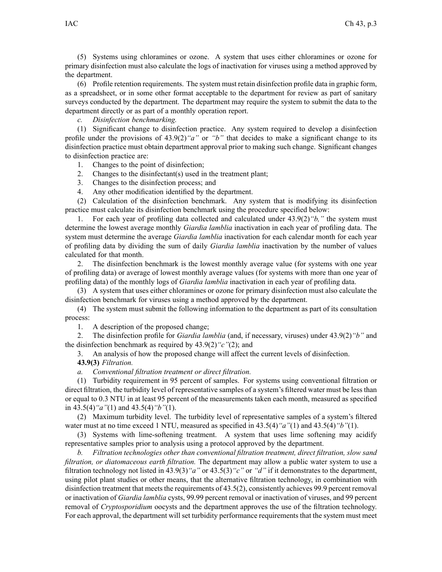(5) Systems using chloramines or ozone. A system that uses either chloramines or ozone for primary disinfection must also calculate the logs of inactivation for viruses using <sup>a</sup> method approved by the department.

(6) Profile retention requirements. The system must retain disinfection profile data in graphic form, as <sup>a</sup> spreadsheet, or in some other format acceptable to the department for review as par<sup>t</sup> of sanitary surveys conducted by the department. The department may require the system to submit the data to the department directly or as par<sup>t</sup> of <sup>a</sup> monthly operation report.

*c. Disinfection benchmarking.*

(1) Significant change to disinfection practice. Any system required to develop <sup>a</sup> disinfection profile under the provisions of 43.9(2)*"a"* or *"b"* that decides to make <sup>a</sup> significant change to its disinfection practice must obtain department approval prior to making such change. Significant changes to disinfection practice are:

1. Changes to the point of disinfection;

2. Changes to the disinfectant(s) used in the treatment plant;

3. Changes to the disinfection process; and

4. Any other modification identified by the department.

(2) Calculation of the disinfection benchmark. Any system that is modifying its disinfection practice must calculate its disinfection benchmark using the procedure specified below:

1. For each year of profiling data collected and calculated under 43.9(2)*"b,"* the system must determine the lowest average monthly *Giardia lamblia* inactivation in each year of profiling data. The system must determine the average *Giardia lamblia* inactivation for each calendar month for each year of profiling data by dividing the sum of daily *Giardia lamblia* inactivation by the number of values calculated for that month.

2. The disinfection benchmark is the lowest monthly average value (for systems with one year of profiling data) or average of lowest monthly average values (for systems with more than one year of profiling data) of the monthly logs of *Giardia lamblia* inactivation in each year of profiling data.

(3) A system that uses either chloramines or ozone for primary disinfection must also calculate the disinfection benchmark for viruses using <sup>a</sup> method approved by the department.

(4) The system must submit the following information to the department as par<sup>t</sup> of its consultation process:

1. A description of the proposed change;

2. The disinfection profile for *Giardia lamblia* (and, if necessary, viruses) under 43.9(2)*"b"* and the disinfection benchmark as required by 43.9(2)*"c"*(2); and

3. An analysis of how the proposed change will affect the current levels of disinfection.

**43.9(3)** *Filtration.*

*a. Conventional filtration treatment or direct filtration.*

(1) Turbidity requirement in 95 percen<sup>t</sup> of samples. For systems using conventional filtration or direct filtration, the turbidity level of representative samples of <sup>a</sup> system's filtered water must be less than or equal to 0.3 NTU in at least 95 percen<sup>t</sup> of the measurements taken each month, measured as specified in 43.5(4)*"a"*(1) and 43.5(4)*"b"*(1).

(2) Maximum turbidity level. The turbidity level of representative samples of <sup>a</sup> system's filtered water must at no time exceed 1 NTU, measured as specified in 43.5(4)*"a"*(1) and 43.5(4)*"b"*(1).

(3) Systems with lime-softening treatment. A system that uses lime softening may acidify representative samples prior to analysis using <sup>a</sup> protocol approved by the department.

*b. Filtration technologies other than conventional filtration treatment, direct filtration, slow sand filtration, or diatomaceous earth filtration.* The department may allow <sup>a</sup> public water system to use <sup>a</sup> filtration technology not listed in 43.9(3)*"a"* or 43.5(3)*"c"* or *"d"* if it demonstrates to the department, using pilot plant studies or other means, that the alternative filtration technology, in combination with disinfection treatment that meets the requirements of  $43.5(2)$ , consistently achieves 99.9 percent removal or inactivation of *Giardia lamblia* cysts, 99.99 percen<sup>t</sup> removal or inactivation of viruses, and 99 percen<sup>t</sup> removal of *Cryptosporidium* oocysts and the department approves the use of the filtration technology. For each approval, the department will set turbidity performance requirements that the system must meet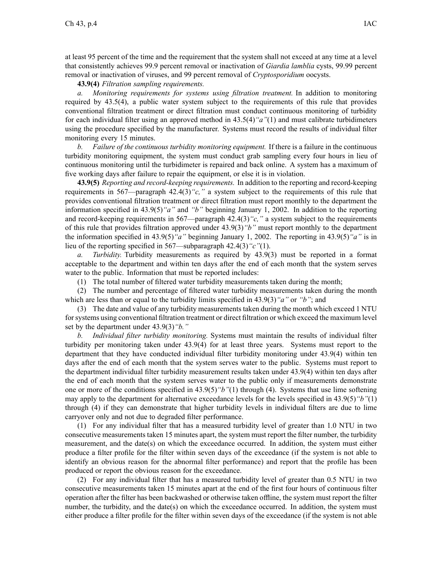at least 95 percen<sup>t</sup> of the time and the requirement that the system shall not exceed at any time at <sup>a</sup> level that consistently achieves 99.9 percen<sup>t</sup> removal or inactivation of *Giardia lamblia* cysts, 99.99 percen<sup>t</sup> removal or inactivation of viruses, and 99 percen<sup>t</sup> removal of *Cryptosporidium* oocysts.

**43.9(4)** *Filtration sampling requirements.*

*a. Monitoring requirements for systems using filtration treatment.* In addition to monitoring required by 43.5(4), <sup>a</sup> public water system subject to the requirements of this rule that provides conventional filtration treatment or direct filtration must conduct continuous monitoring of turbidity for each individual filter using an approved method in 43.5(4)*"a"*(1) and must calibrate turbidimeters using the procedure specified by the manufacturer. Systems must record the results of individual filter monitoring every 15 minutes.

*b. Failure of the continuous turbidity monitoring equipment.* If there is <sup>a</sup> failure in the continuous turbidity monitoring equipment, the system must conduct grab sampling every four hours in lieu of continuous monitoring until the turbidimeter is repaired and back online. A system has <sup>a</sup> maximum of five working days after failure to repair the equipment, or else it is in violation.

**43.9(5)** *Reporting and record-keeping requirements.* In addition to the reporting and record-keeping requirements in 567—paragraph 42.4(3)*"c,"* <sup>a</sup> system subject to the requirements of this rule that provides conventional filtration treatment or direct filtration must repor<sup>t</sup> monthly to the department the information specified in 43.9(5)*"a"* and *"b"* beginning January 1, 2002. In addition to the reporting and record-keeping requirements in 567—paragraph 42.4(3)*"c,"* <sup>a</sup> system subject to the requirements of this rule that provides filtration approved under 43.9(3)*"b"* must repor<sup>t</sup> monthly to the department the information specified in 43.9(5)*"a"* beginning January 1, 2002. The reporting in 43.9(5)*"a"* is in lieu of the reporting specified in 567—subparagraph 42.4(3)*"c"*(1).

*a. Turbidity.* Turbidity measurements as required by 43.9(3) must be reported in <sup>a</sup> format acceptable to the department and within ten days after the end of each month that the system serves water to the public. Information that must be reported includes:

(1) The total number of filtered water turbidity measurements taken during the month;

(2) The number and percentage of filtered water turbidity measurements taken during the month which are less than or equal to the turbidity limits specified in 43.9(3)*"a"* or *"b"*; and

(3) The date and value of any turbidity measurements taken during the month which exceed 1 NTU forsystems using conventional filtration treatment or direct filtration or which exceed the maximum level set by the department under 43.9(3)*"b."*

*b. Individual filter turbidity monitoring.* Systems must maintain the results of individual filter turbidity per monitoring taken under 43.9(4) for at least three years. Systems must repor<sup>t</sup> to the department that they have conducted individual filter turbidity monitoring under 43.9(4) within ten days after the end of each month that the system serves water to the public. Systems must repor<sup>t</sup> to the department individual filter turbidity measurement results taken under 43.9(4) within ten days after the end of each month that the system serves water to the public only if measurements demonstrate one or more of the conditions specified in 43.9(5)*"b"*(1) through (4). Systems that use lime softening may apply to the department for alternative exceedance levels for the levels specified in 43.9(5)*"b"*(1) through (4) if they can demonstrate that higher turbidity levels in individual filters are due to lime carryover only and not due to degraded filter performance.

(1) For any individual filter that has <sup>a</sup> measured turbidity level of greater than 1.0 NTU in two consecutive measurements taken 15 minutes apart, the system must repor<sup>t</sup> the filter number, the turbidity measurement, and the date(s) on which the exceedance occurred. In addition, the system must either produce <sup>a</sup> filter profile for the filter within seven days of the exceedance (if the system is not able to identify an obvious reason for the abnormal filter performance) and repor<sup>t</sup> that the profile has been produced or repor<sup>t</sup> the obvious reason for the exceedance.

(2) For any individual filter that has <sup>a</sup> measured turbidity level of greater than 0.5 NTU in two consecutive measurements taken 15 minutes apar<sup>t</sup> at the end of the first four hours of continuous filter operation after the filter has been backwashed or otherwise taken offline, the system must repor<sup>t</sup> the filter number, the turbidity, and the date(s) on which the exceedance occurred. In addition, the system must either produce <sup>a</sup> filter profile for the filter within seven days of the exceedance (if the system is not able